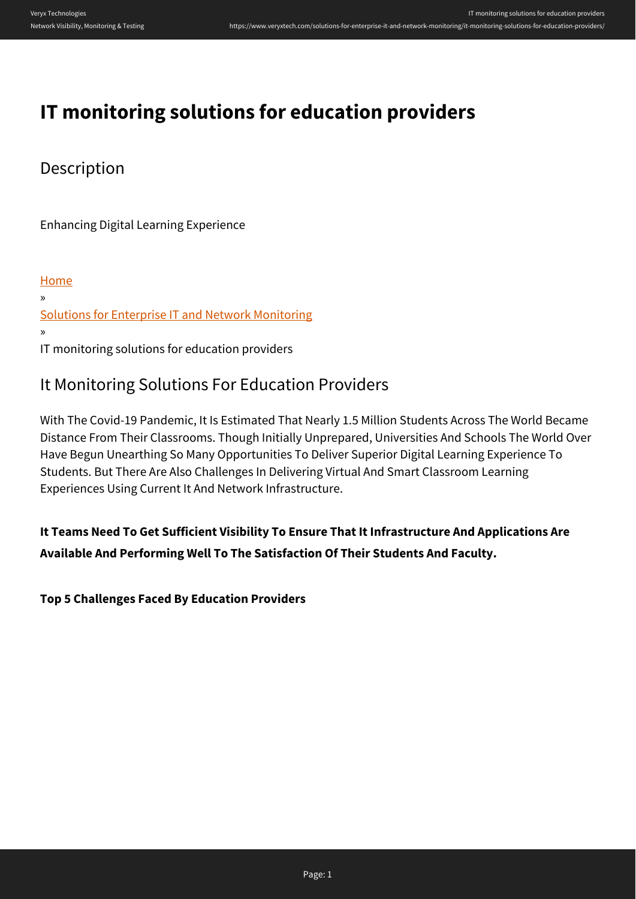# **IT monitoring solutions for education providers**

### Description

Enhancing Digital Learning Experience

[Home](https://www.veryxtech.com) » [Solutions for Enterprise IT and Network Monitoring](https://www.veryxtech.com/solutions-for-enterprise-it-and-network-monitoring/) » IT monitoring solutions for education providers

## It Monitoring Solutions For Education Providers

With The Covid-19 Pandemic, It Is Estimated That Nearly 1.5 Million Students Across The World Became Distance From Their Classrooms. Though Initially Unprepared, Universities And Schools The World Over Have Begun Unearthing So Many Opportunities To Deliver Superior Digital Learning Experience To Students. But There Are Also Challenges In Delivering Virtual And Smart Classroom Learning Experiences Using Current It And Network Infrastructure.

**It Teams Need To Get Sufficient Visibility To Ensure That It Infrastructure And Applications Are Available And Performing Well To The Satisfaction Of Their Students And Faculty.**

**Top 5 Challenges Faced By Education Providers**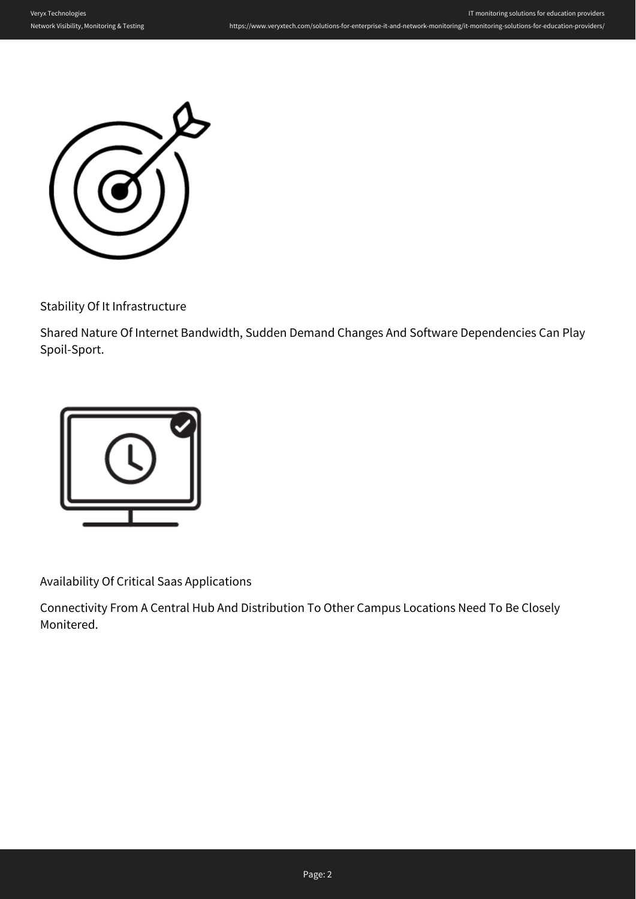

Stability Of It Infrastructure

Shared Nature Of Internet Bandwidth, Sudden Demand Changes And Software Dependencies Can Play Spoil-Sport.



Availability Of Critical Saas Applications

Connectivity From A Central Hub And Distribution To Other Campus Locations Need To Be Closely Monitered.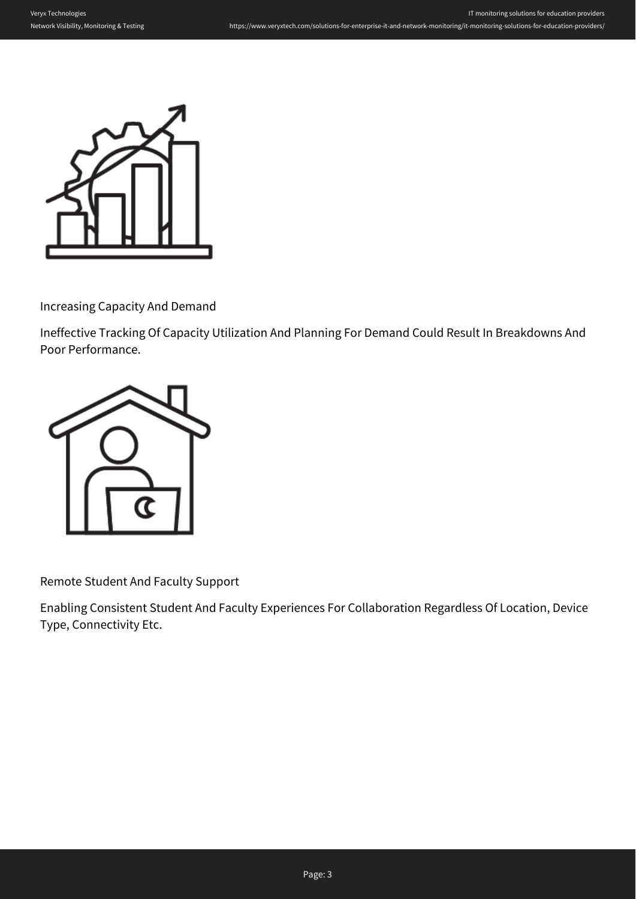

Increasing Capacity And Demand

Ineffective Tracking Of Capacity Utilization And Planning For Demand Could Result In Breakdowns And Poor Performance.



Remote Student And Faculty Support

Enabling Consistent Student And Faculty Experiences For Collaboration Regardless Of Location, Device Type, Connectivity Etc.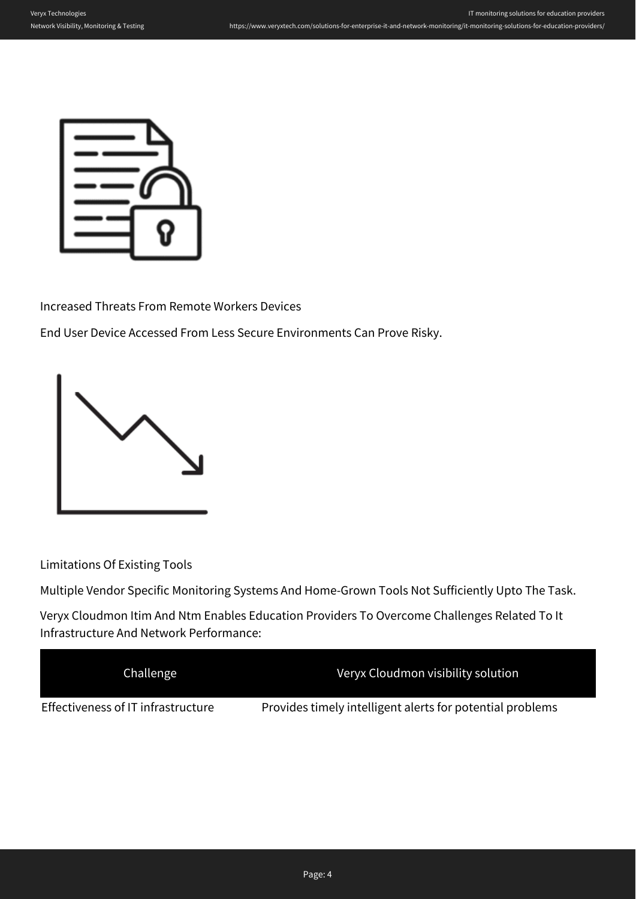

Increased Threats From Remote Workers Devices

End User Device Accessed From Less Secure Environments Can Prove Risky.



Limitations Of Existing Tools

Multiple Vendor Specific Monitoring Systems And Home-Grown Tools Not Sufficiently Upto The Task.

Veryx Cloudmon Itim And Ntm Enables Education Providers To Overcome Challenges Related To It Infrastructure And Network Performance:

| Challenge                          | Veryx Cloudmon visibility solution                        |
|------------------------------------|-----------------------------------------------------------|
| Effectiveness of IT infrastructure | Provides timely intelligent alerts for potential problems |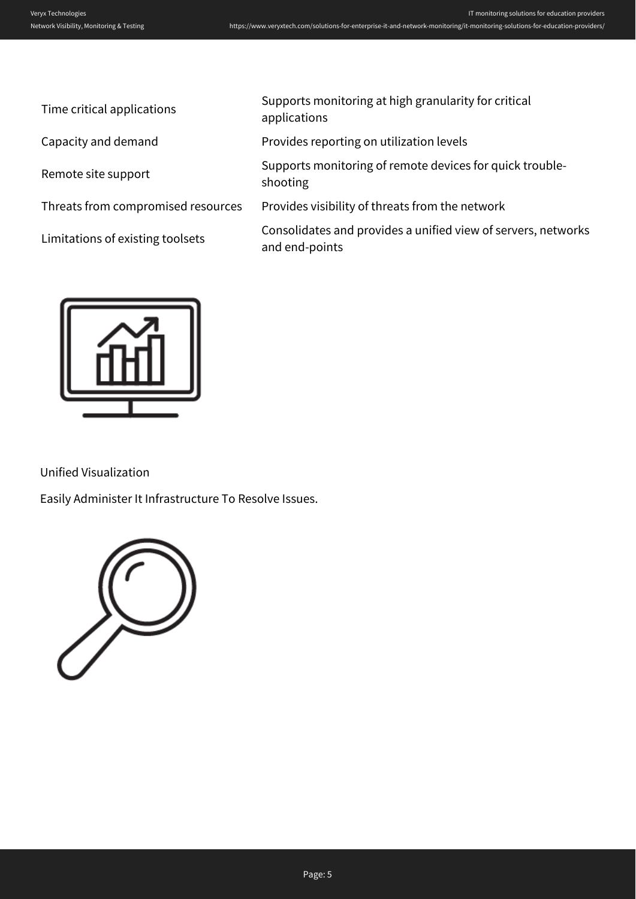| Time critical applications         | Supports monitoring at high granularity for critical<br>applications            |
|------------------------------------|---------------------------------------------------------------------------------|
| Capacity and demand                | Provides reporting on utilization levels                                        |
| Remote site support                | Supports monitoring of remote devices for quick trouble-<br>shooting            |
| Threats from compromised resources | Provides visibility of threats from the network                                 |
| Limitations of existing toolsets   | Consolidates and provides a unified view of servers, networks<br>and end-points |
|                                    |                                                                                 |



Unified Visualization

Easily Administer It Infrastructure To Resolve Issues.